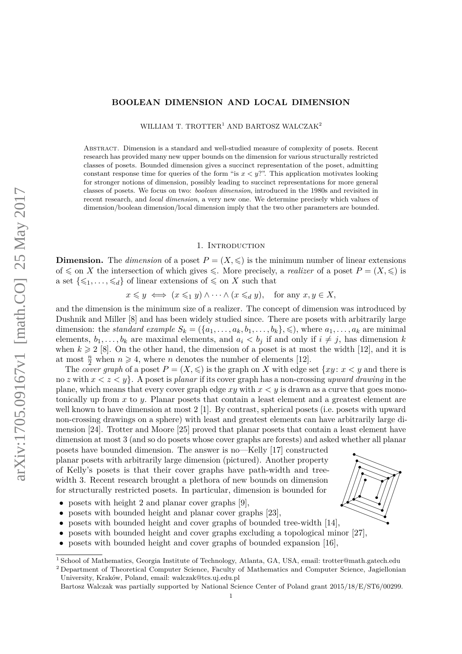# **BOOLEAN DIMENSION AND LOCAL DIMENSION**

WILLIAM T. TROTTER<sup>1</sup> AND BARTOSZ WALCZAK<sup>2</sup>

Abstract. Dimension is a standard and well-studied measure of complexity of posets. Recent research has provided many new upper bounds on the dimension for various structurally restricted classes of posets. Bounded dimension gives a succinct representation of the poset, admitting constant response time for queries of the form "is  $x < y$ ?". This application motivates looking for stronger notions of dimension, possibly leading to succinct representations for more general classes of posets. We focus on two: *boolean dimension*, introduced in the 1980s and revisited in recent research, and *local dimension*, a very new one. We determine precisely which values of dimension/boolean dimension/local dimension imply that the two other parameters are bounded.

#### 1. INTRODUCTION

**Dimension.** The *dimension* of a poset  $P = (X, \leqslant)$  is the minimum number of linear extensions of  $\leq$  on *X* the intersection of which gives  $\leq$ . More precisely, a *realizer* of a poset  $P = (X, \leq)$  is a set  $\{\leqslant_1, \ldots, \leqslant_d\}$  of linear extensions of  $\leqslant$  on *X* such that

 $x \leq y \iff (x \leq_1 y) \land \cdots \land (x \leq_d y)$ , for any  $x, y \in X$ ,

and the dimension is the minimum size of a realizer. The concept of dimension was introduced by Dushnik and Miller [\[8\]](#page-5-0) and has been widely studied since. There are posets with arbitrarily large dimension: the *standard example*  $S_k = (\{a_1, \ldots, a_k, b_1, \ldots, b_k\}, \leqslant)$ , where  $a_1, \ldots, a_k$  are minimal elements,  $b_1, \ldots, b_k$  are maximal elements, and  $a_i < b_j$  if and only if  $i \neq j$ , has dimension *k* when  $k \geq 2$  [\[8\]](#page-5-0). On the other hand, the dimension of a poset is at most the width [\[12\]](#page-5-1), and it is at most  $\frac{n}{2}$  when  $n \geq 4$ , where *n* denotes the number of elements [\[12\]](#page-5-1).

The *cover graph* of a poset  $P = (X, \leqslant)$  is the graph on X with edge set  $\{xy : x \leq y \}$  and there is no *z* with *x < z < y*}. A poset is *planar* if its cover graph has a non-crossing *upward drawing* in the plane, which means that every cover graph edge  $xy$  with  $x \leq y$  is drawn as a curve that goes monotonically up from *x* to *y*. Planar posets that contain a least element and a greatest element are well known to have dimension at most 2 [\[1\]](#page-5-2). By contrast, spherical posets (i.e. posets with upward non-crossing drawings on a sphere) with least and greatest elements can have arbitrarily large dimension [\[24\]](#page-5-3). Trotter and Moore [\[25\]](#page-5-4) proved that planar posets that contain a least element have dimension at most 3 (and so do posets whose cover graphs are forests) and asked whether all planar

posets have bounded dimension. The answer is no—Kelly [\[17\]](#page-5-5) constructed planar posets with arbitrarily large dimension (pictured). Another property of Kelly's posets is that their cover graphs have path-width and treewidth 3. Recent research brought a plethora of new bounds on dimension for structurally restricted posets. In particular, dimension is bounded for

- posets with height 2 and planar cover graphs [\[9\]](#page-5-6),
- posets with bounded height and planar cover graphs [\[23\]](#page-5-7),
- posets with bounded height and cover graphs of bounded tree-width [\[14\]](#page-5-8),
- posets with bounded height and cover graphs excluding a topological minor [\[27\]](#page-5-9),
- posets with bounded height and cover graphs of bounded expansion [\[16\]](#page-5-10),



<sup>1</sup> School of Mathematics, Georgia Institute of Technology, Atlanta, GA, USA, email: [trotter@math.gatech.edu](mailto:trotter@math.gatech.edu)

<sup>2</sup> Department of Theoretical Computer Science, Faculty of Mathematics and Computer Science, Jagiellonian University, Kraków, Poland, email: [walczak@tcs.uj.edu.pl](mailto:walczak@tcs.uj.edu.pl)

Bartosz Walczak was partially supported by National Science Center of Poland grant 2015/18/E/ST6/00299.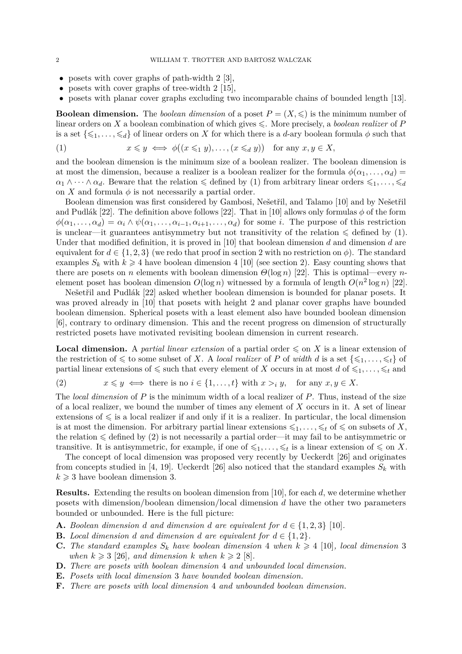- posets with cover graphs of path-width 2 [\[3\]](#page-5-11),
- posets with cover graphs of tree-width  $2 \lfloor 15 \rfloor$ ,
- posets with planar cover graphs excluding two incomparable chains of bounded length [\[13\]](#page-5-13).

**Boolean dimension.** The *boolean dimension* of a poset  $P = (X, \leq)$  is the minimum number of linear orders on X a boolean combination of which gives  $\leq$ . More precisely, a *boolean realizer* of P is a set  $\{\leq 1, \ldots, \leq d\}$  of linear orders on X for which there is a *d*-ary boolean formula  $\phi$  such that

<span id="page-1-0"></span>(1)  $x \leq y \iff \phi((x \leq_1 y), \dots, (x \leq_d y))$  for any  $x, y \in X$ ,

and the boolean dimension is the minimum size of a boolean realizer. The boolean dimension is at most the dimension, because a realizer is a boolean realizer for the formula  $\phi(\alpha_1, \ldots, \alpha_d)$  $\alpha_1 \wedge \cdots \wedge \alpha_d$ . Beware that the relation  $\leq$  defined by [\(1\)](#page-1-0) from arbitrary linear orders  $\leqslant_1, \ldots, \leqslant_d$ on *X* and formula  $\phi$  is not necessarily a partial order.

Boolean dimension was first considered by Gambosi, Nešetřil, and Talamo [\[10\]](#page-5-14) and by Nešetřil and Pudlák [\[22\]](#page-5-15). The definition above follows [22]. That in [\[10\]](#page-5-14) allows only formulas  $\phi$  of the form  $\phi(\alpha_1, \ldots, \alpha_d) = \alpha_i \wedge \psi(\alpha_1, \ldots, \alpha_{i-1}, \alpha_{i+1}, \ldots, \alpha_d)$  for some *i*. The purpose of this restriction is unclear—it guarantees antisymmetry but not transitivity of the relation  $\leq$  defined by [\(1\)](#page-1-0). Under that modified definition, it is proved in [\[10\]](#page-5-14) that boolean dimension *d* and dimension *d* are equivalent for  $d \in \{1, 2, 3\}$  $d \in \{1, 2, 3\}$  $d \in \{1, 2, 3\}$  (we redo that proof in section 2 with no restriction on  $\phi$ ). The standard examples  $S_k$  with  $k \geq 4$  have boolean dimension 4 [\[10\]](#page-5-14) (see section [2\)](#page-2-0). Easy counting shows that there are posets on *n* elements with boolean dimension *Θ*(log *n*) [\[22\]](#page-5-15). This is optimal—every *n*element poset has boolean dimension  $O(\log n)$  witnessed by a formula of length  $O(n^2 \log n)$  [\[22\]](#page-5-15).

Nešetřil and Pudlák [\[22\]](#page-5-15) asked whether boolean dimension is bounded for planar posets. It was proved already in [\[10\]](#page-5-14) that posets with height 2 and planar cover graphs have bounded boolean dimension. Spherical posets with a least element also have bounded boolean dimension [\[6\]](#page-5-16), contrary to ordinary dimension. This and the recent progress on dimension of structurally restricted posets have motivated revisiting boolean dimension in current research.

**Local dimension.** A *partial linear extension* of a partial order  $\leq$  on *X* is a linear extension of the restriction of  $\leq$  to some subset of *X*. A *local realizer* of *P* of *width d* is a set  $\{\leqslant_1, \ldots, \leqslant_t\}$  of partial linear extensions of  $\leq$  such that every element of *X* occurs in at most *d* of  $\leq_1, \ldots, \leq_t$  and

<span id="page-1-1"></span>(2)  $x \leq y \iff \text{there is no } i \in \{1, \ldots, t\} \text{ with } x >_i y, \text{ for any } x, y \in X.$ 

The *local dimension* of *P* is the minimum width of a local realizer of *P*. Thus, instead of the size of a local realizer, we bound the number of times any element of *X* occurs in it. A set of linear extensions of  $\leq$  is a local realizer if and only if it is a realizer. In particular, the local dimension is at most the dimension. For arbitrary partial linear extensions  $\leqslant_1, \ldots, \leqslant_t$  of  $\leqslant$  on subsets of X, the relation  $\leq$  defined by [\(2\)](#page-1-1) is not necessarily a partial order—it may fail to be antisymmetric or transitive. It is antisymmetric, for example, if one of  $\leqslant_1, \ldots, \leqslant_t$  is a linear extension of  $\leqslant$  on *X*.

The concept of local dimension was proposed very recently by Ueckerdt [\[26\]](#page-5-17) and originates from concepts studied in [\[4,](#page-5-18) [19\]](#page-5-19). Ueckerdt [\[26\]](#page-5-17) also noticed that the standard examples  $S_k$  with  $k \geqslant 3$  have boolean dimension 3.

**Results.** Extending the results on boolean dimension from [\[10\]](#page-5-14), for each *d*, we determine whether posets with dimension/boolean dimension/local dimension *d* have the other two parameters bounded or unbounded. Here is the full picture:

- <span id="page-1-2"></span>**A.** Boolean dimension *d* and dimension *d* are equivalent for  $d \in \{1, 2, 3\}$  [\[10\]](#page-5-14)*.*
- **B.** *Local dimension d and dimension d are equivalent for*  $d \in \{1, 2\}$ *.*
- **C.** The standard examples  $S_k$  have boolean dimension 4 when  $k \geq 4$  [\[10\]](#page-5-14)*, local dimension* 3 *when*  $k \geq 3$  [\[26\]](#page-5-17)*, and dimension*  $k$  *when*  $k \geq 2$  [\[8\]](#page-5-0)*.*
- **D.** *There are posets with boolean dimension* 4 *and unbounded local dimension.*
- **E.** *Posets with local dimension* 3 *have bounded boolean dimension.*
- <span id="page-1-3"></span>**F.** *There are posets with local dimension* 4 *and unbounded boolean dimension.*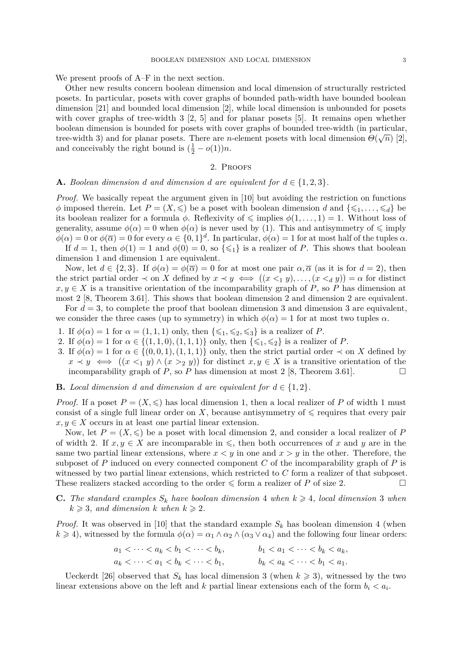We present proofs of [A–](#page-1-2)[F](#page-1-3) in the next section.

Other new results concern boolean dimension and local dimension of structurally restricted posets. In particular, posets with cover graphs of bounded path-width have bounded boolean dimension [\[21\]](#page-5-20) and bounded local dimension [\[2\]](#page-5-21), while local dimension is unbounded for posets with cover graphs of tree-width 3 [\[2,](#page-5-21) [5\]](#page-5-22) and for planar posets [\[5\]](#page-5-22). It remains open whether boolean dimension is bounded for posets with cover graphs of bounded tree-width (in particular, tree-width 3) and for planar posets. There are *n*-element posets with local dimension  $\Theta(\sqrt{n})$  [\[2\]](#page-5-21), and conceivably the right bound is  $(\frac{1}{2} - o(1))n$ .

#### 2. Proofs

#### <span id="page-2-0"></span>**A.** Boolean dimension *d* and dimension *d* are equivalent for  $d \in \{1, 2, 3\}$ .

*Proof.* We basically repeat the argument given in [\[10\]](#page-5-14) but avoiding the restriction on functions  $\phi$  imposed therein. Let  $P = (X, \leqslant)$  be a poset with boolean dimension *d* and  $\{\leqslant_1, \ldots, \leqslant_d\}$  be its boolean realizer for a formula  $\phi$ . Reflexivity of  $\leq$  implies  $\phi(1,\ldots,1) = 1$ . Without loss of generality, assume  $\phi(\alpha) = 0$  when  $\phi(\alpha)$  is never used by [\(1\)](#page-1-0). This and antisymmetry of  $\leq$  imply  $\phi(\alpha) = 0$  or  $\phi(\overline{\alpha}) = 0$  for every  $\alpha \in \{0,1\}^d$ . In particular,  $\phi(\alpha) = 1$  for at most half of the tuples  $\alpha$ . If  $d = 1$ , then  $\phi(1) = 1$  and  $\phi(0) = 0$ , so  $\{\leq 1\}$  is a realizer of *P*. This shows that boolean dimension 1 and dimension 1 are equivalent.

Now, let  $d \in \{2,3\}$ . If  $\phi(\alpha) = \phi(\overline{\alpha}) = 0$  for at most one pair  $\alpha, \overline{\alpha}$  (as it is for  $d = 2$ ), then the strict partial order  $\prec$  on *X* defined by  $x \prec y \iff ((x \leq_1 y), \ldots, (x \leq_d y)) = \alpha$  for distinct  $x, y \in X$  is a transitive orientation of the incomparability graph of *P*, so *P* has dimension at most 2 [\[8,](#page-5-0) Theorem 3.61]. This shows that boolean dimension 2 and dimension 2 are equivalent.

For  $d = 3$ , to complete the proof that boolean dimension 3 and dimension 3 are equivalent, we consider the three cases (up to symmetry) in which  $\phi(\alpha) = 1$  for at most two tuples  $\alpha$ .

- 1. If  $\phi(\alpha) = 1$  for  $\alpha = (1, 1, 1)$  only, then  $\{\leq 1, \leq 2, \leq 3\}$  is a realizer of *P*.
- 2. If  $\phi(\alpha) = 1$  for  $\alpha \in \{(1, 1, 0), (1, 1, 1)\}$  only, then  $\{\leq 1, \leq 2\}$  is a realizer of *P*.
- 3. If  $\phi(\alpha) = 1$  for  $\alpha \in \{(0, 0, 1), (1, 1, 1)\}$  only, then the strict partial order  $\prec$  on *X* defined by  $x \prec y \iff ((x \leq_1 y) \land (x \geq_2 y))$  for distinct  $x, y \in X$  is a transitive orientation of the incomparability graph of *P*, so *P* has dimension at most 2 [\[8,](#page-5-0) Theorem 3.61].

### **B.** *Local dimension d and dimension d are equivalent for*  $d \in \{1, 2\}$ *.*

*Proof.* If a poset  $P = (X, \leqslant)$  has local dimension 1, then a local realizer of P of width 1 must consist of a single full linear order on X, because antisymmetry of  $\leq$  requires that every pair  $x, y \in X$  occurs in at least one partial linear extension.

Now, let  $P = (X, \leqslant)$  be a poset with local dimension 2, and consider a local realizer of P of width 2. If  $x, y \in X$  are incomparable in  $\leq$ , then both occurrences of x and y are in the same two partial linear extensions, where  $x < y$  in one and  $x > y$  in the other. Therefore, the subposet of *P* induced on every connected component *C* of the incomparability graph of *P* is witnessed by two partial linear extensions, which restricted to *C* form a realizer of that subposet. These realizers stacked according to the order  $\leq$  form a realizer of *P* of size 2.

**C.** The standard examples  $S_k$  have boolean dimension 4 when  $k \geq 4$ , local dimension 3 when  $k \geq 3$ *, and dimension*  $k$  *when*  $k \geq 2$ *.* 

*Proof.* It was observed in [\[10\]](#page-5-14) that the standard example  $S_k$  has boolean dimension 4 (when  $k \ge 4$ , witnessed by the formula  $\phi(\alpha) = \alpha_1 \wedge \alpha_2 \wedge (\alpha_3 \vee \alpha_4)$  and the following four linear orders:

$$
a_1 < \cdots < a_k < b_1 < \cdots < b_k
$$
,  $b_1 < a_1 < \cdots < b_k < a_k$ ,  
\n $a_k < \cdots < a_1 < b_k < \cdots < b_1$ ,  $b_k < a_k < \cdots < b_1 < a_1$ .

Ueckerdt [\[26\]](#page-5-17) observed that  $S_k$  has local dimension 3 (when  $k \geq 3$ ), witnessed by the two linear extensions above on the left and  $k$  partial linear extensions each of the form  $b_i < a_i$ .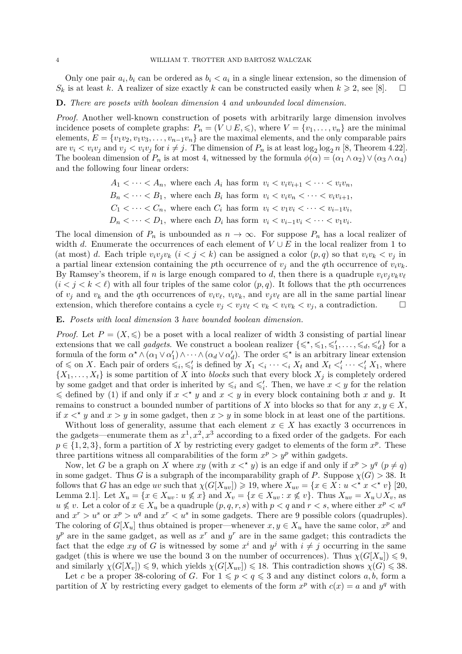Only one pair  $a_i, b_i$  can be ordered as  $b_i < a_i$  in a single linear extension, so the dimension of  $S_k$  is at least *k*. A realizer of size exactly *k* can be constructed easily when  $k \geq 2$ , see [\[8\]](#page-5-0).  $\square$ 

## **D.** *There are posets with boolean dimension* 4 *and unbounded local dimension.*

*Proof.* Another well-known construction of posets with arbitrarily large dimension involves incidence posets of complete graphs:  $P_n = (V \cup E, \leqslant),$  where  $V = \{v_1, \ldots, v_n\}$  are the minimal elements,  $E = \{v_1v_2, v_1v_3, \ldots, v_{n-1}v_n\}$  are the maximal elements, and the only comparable pairs are  $v_i < v_i v_j$  and  $v_j < v_i v_j$  for  $i \neq j$ . The dimension of  $P_n$  is at least  $\log_2 \log_2 n$  [\[8,](#page-5-0) Theorem 4.22]. The boolean dimension of  $P_n$  is at most 4, witnessed by the formula  $\phi(\alpha) = (\alpha_1 \wedge \alpha_2) \vee (\alpha_3 \wedge \alpha_4)$ and the following four linear orders:

> $A_1 \leq \cdots \leq A_n$ , where each  $A_i$  has form  $v_i \leq v_i v_{i+1} \leq \cdots \leq v_i v_n$ ,  $B_n < \cdots < B_1$ , where each  $B_i$  has form  $v_i < v_i v_n < \cdots < v_i v_{i+1}$ ,  $C_1 < \cdots < C_n$ , where each  $C_i$  has form  $v_i < v_1v_i < \cdots < v_{i-1}v_i$ ,  $D_n < \cdots < D_1$ , where each  $D_i$  has form  $v_i < v_{i-1}v_i < \cdots < v_1v_i$ .

The local dimension of  $P_n$  is unbounded as  $n \to \infty$ . For suppose  $P_n$  has a local realizer of width *d*. Enumerate the occurrences of each element of  $V \cup E$  in the local realizer from 1 to (at most) *d*. Each triple  $v_i v_j v_k$  ( $i < j < k$ ) can be assigned a color  $(p, q)$  so that  $v_i v_k < v_j$  in a partial linear extension containing the *p*th occurrence of  $v_j$  and the *q*th occurrence of  $v_i v_k$ . By Ramsey's theorem, if *n* is large enough compared to *d*, then there is a quadruple  $v_i v_j v_k v_\ell$  $(i < j < k < \ell)$  with all four triples of the same color  $(p, q)$ . It follows that the *p*th occurrences of  $v_j$  and  $v_k$  and the *q*th occurrences of  $v_i v_\ell$ ,  $v_i v_k$ , and  $v_j v_\ell$  are all in the same partial linear extension, which therefore contains a cycle  $v_i < v_i v_\ell < v_i v_k < v_i v_k < v_j$ , a contradiction.

### **E.** *Posets with local dimension* 3 *have bounded boolean dimension.*

*Proof.* Let  $P = (X, \leqslant)$  be a poset with a local realizer of width 3 consisting of partial linear extensions that we call *gadgets*. We construct a boolean realizer  $\{\leq \,^*, \leq 1, \leq'_1, \ldots, \leq_d, \leq'_d\}$  for a formula of the form  $\alpha^* \wedge (\alpha_1 \vee \alpha_1') \wedge \cdots \wedge (\alpha_d \vee \alpha_d')$ . The order  $\leq^*$  is an arbitrary linear extension of  $\leq$  on X. Each pair of orders  $\leq_i, \leq'_i$  is defined by  $X_1 \leq_i \cdots \leq_i X_t$  and  $X_t \leq'_i \cdots \leq'_i X_1$ , where  $\{X_1, \ldots, X_t\}$  is some partition of *X* into *blocks* such that every block  $X_j$  is completely ordered by some gadget and that order is inherited by  $\leq_i$  and  $\leq'_i$ . Then, we have  $x < y$  for the relation  $\leq$  defined by [\(1\)](#page-1-0) if and only if  $x <^* y$  and  $x < y$  in every block containing both x and y. It remains to construct a bounded number of partitions of *X* into blocks so that for any  $x, y \in X$ , if  $x <^* y$  and  $x > y$  in some gadget, then  $x > y$  in some block in at least one of the partitions.

Without loss of generality, assume that each element  $x \in X$  has exactly 3 occurrences in the gadgets—enumerate them as  $x^1, x^2, x^3$  according to a fixed order of the gadgets. For each  $p \in \{1, 2, 3\}$ , form a partition of *X* by restricting every gadget to elements of the form  $x^p$ . These three partitions witness all comparabilities of the form  $x^p > y^p$  within gadgets.

Now, let *G* be a graph on *X* where  $xy$  (with  $x <^* y$ ) is an edge if and only if  $x^p > y^q$  ( $p \neq q$ ) in some gadget. Thus *G* is a subgraph of the incomparability graph of *P*. Suppose  $\chi(G) > 38$ . It follows that *G* has an edge *uv* such that  $\chi(G[X_{uv}]) \geq 19$ , where  $X_{uv} = \{x \in X : u \leq^* x \leq^* v\}$  [\[20,](#page-5-23) Lemma 2.1]. Let  $X_u = \{x \in X_{uv} : u \nleq x\}$  and  $X_v = \{x \in X_{uv} : x \nleq v\}$ . Thus  $X_{uv} = X_u \cup X_v$ , as  $u \nless v$ . Let a color of  $x \in X_u$  be a quadruple  $(p, q, r, s)$  with  $p < q$  and  $r < s$ , where either  $x^p < u^q$ and  $x^r > u^s$  or  $x^p > u^q$  and  $x^r < u^s$  in some gadgets. There are 9 possible colors (quadruples). The coloring of  $G[X_u]$  thus obtained is proper—whenever  $x, y \in X_u$  have the same color,  $x^p$  and  $y^p$  are in the same gadget, as well as  $x^r$  and  $y^r$  are in the same gadget; this contradicts the fact that the edge *xy* of *G* is witnessed by some  $x^i$  and  $y^j$  with  $i \neq j$  occurring in the same gadget (this is where we use the bound 3 on the number of occurrences). Thus  $\chi(G[X_u]) \leq 9$ , and similarly  $\chi(G[X_v]) \leq 9$ , which yields  $\chi(G[X_{uv}]) \leq 18$ . This contradiction shows  $\chi(G) \leq 38$ .

Let *c* be a proper 38-coloring of *G*. For  $1 \leqslant p < q \leqslant 3$  and any distinct colors *a, b,* form a partition of *X* by restricting every gadget to elements of the form  $x^p$  with  $c(x) = a$  and  $y^q$  with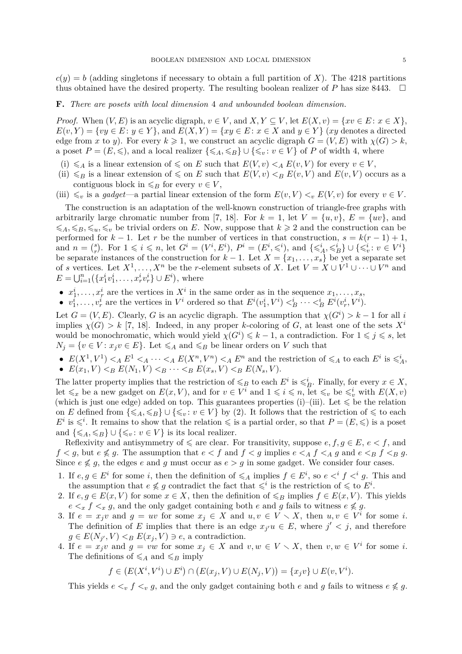$c(y) = b$  (adding singletons if necessary to obtain a full partition of X). The 4218 partitions thus obtained have the desired property. The resulting boolean realizer of *P* has size 8443.  $\square$ 

#### **F.** *There are posets with local dimension* 4 *and unbounded boolean dimension.*

*Proof.* When  $(V, E)$  is an acyclic digraph,  $v \in V$ , and  $X, Y \subseteq V$ , let  $E(X, v) = \{xv \in E : x \in X\}$ ,  $E(v, Y) = \{vy \in E : y \in Y\}$ , and  $E(X, Y) = \{xy \in E : x \in X \text{ and } y \in Y\}$  (*xy* denotes a directed edge from *x* to *y*). For every  $k \ge 1$ , we construct an acyclic digraph  $G = (V, E)$  with  $\chi(G) > k$ , a poset  $P = (E, \leqslant)$ , and a local realizer  $\{\leqslant_A, \leqslant_B\} \cup \{\leqslant_v : v \in V\}$  of P of width 4, where

- <span id="page-4-0"></span>(i)  $\leq A$  is a linear extension of  $\leq$  on *E* such that  $E(V, v) <sub>A</sub> E(v, V)$  for every  $v \in V$ ,
- (ii)  $\leq B$  is a linear extension of  $\leq$  on *E* such that  $E(V, v) < B E(v, V)$  and  $E(v, V)$  occurs as a contiguous block in  $\leq_B$  for every  $v \in V$ ,
- <span id="page-4-1"></span>(iii)  $\leq v$  is a *gadget*—a partial linear extension of the form  $E(v, V) < v E(V, v)$  for every  $v \in V$ .

The construction is an adaptation of the well-known construction of triangle-free graphs with arbitrarily large chromatic number from [\[7,](#page-5-24) [18\]](#page-5-25). For  $k = 1$ , let  $V = \{u, v\}$ ,  $E = \{uv\}$ , and  $\leq A, \leq B, \leq u, \leq v$  be trivial orders on *E*. Now, suppose that  $k \geq 2$  and the construction can be performed for  $k - 1$ . Let  $r$  be the number of vertices in that construction,  $s = k(r - 1) + 1$ , and  $n = \binom{s}{r}$ <sup>s</sup><sub>r</sub>). For  $1 \leq i \leq n$ , let  $G^i = (V^i, E^i)$ ,  $P^i = (E^i, \leq i)$ , and  $\{\leqslant^i_A, \leqslant^i_B\} \cup \{\leqslant^i_v : v \in V^i\}$ be separate instances of the construction for  $k-1$ . Let  $X = \{x_1, \ldots, x_s\}$  be yet a separate set of *s* vertices. Let  $X^1, \ldots, X^n$  be the *r*-element subsets of *X*. Let  $V = X \cup V^1 \cup \cdots \cup V^n$  and  $E = \bigcup_{i=1}^{n} (\{x_1^i v_1^i, \dots, x_r^i v_r^i\} \cup E^i)$ , where

- $x_1^i, \ldots, x_r^i$  are the vertices in  $X^i$  in the same order as in the sequence  $x_1, \ldots, x_s$ ,
- $v_1^i, \ldots, v_r^i$  are the vertices in  $V^i$  ordered so that  $E^i(v_1^i, V^i) <^i_B \cdots <^i_B E^i(v_r^i, V^i)$ .

Let  $G = (V, E)$ . Clearly, *G* is an acyclic digraph. The assumption that  $\chi(G^i) > k - 1$  for all *i* implies  $\chi(G) > k$  [\[7,](#page-5-24) [18\]](#page-5-25). Indeed, in any proper *k*-coloring of *G*, at least one of the sets  $X^i$ would be monochromatic, which would yield  $\chi(G^i) \leq k - 1$ , a contradiction. For  $1 \leq j \leq s$ , let  $N_j = \{v \in V : x_j v \in E\}$ . Let  $\leq A$  and  $\leq B$  be linear orders on *V* such that

- $E(X^1, V^1) <_A E^1 <_A \cdots <_A E(X^n, V^n) <_A E^n$  and the restriction of  $\leq_A$  to each  $E^i$  is  $\leq_A^i$ ,
- $E(x_1, V) \leq_B E(N_1, V) \leq_B \cdots \leq_B E(x_s, V) \leq_B E(N_s, V).$

The latter property implies that the restriction of  $\leq_B$  to each  $E^i$  is  $\leq_B^i$ . Finally, for every  $x \in X$ , let  $\leq x$  be a new gadget on  $E(x, V)$ , and for  $v \in V^i$  and  $1 \leqslant i \leqslant n$ , let  $\leqslant_v$  be  $\leqslant_v^i$  with  $E(X, v)$ (which is just one edge) added on top. This guarantees properties [\(i\)–](#page-4-0)[\(iii\).](#page-4-1) Let  $\leq$  be the relation on *E* defined from  $\{\leqslant_A,\leqslant_B\} \cup \{\leqslant_v : v \in V\}$  by [\(2\)](#page-1-1). It follows that the restriction of  $\leqslant$  to each  $E^i$  is  $\leq$ <sup>*i*</sup>. It remains to show that the relation  $\leq$  is a partial order, so that  $P = (E, \leqslant)$  is a poset and  $\{\leq A, \leq B\} \cup \{\leq v : v \in V\}$  is its local realizer.

Reflexivity and antisymmetry of  $\leq$  are clear. For transitivity, suppose  $e, f, g \in E$ ,  $e < f$ , and  $f < g$ , but  $e \not\leq g$ . The assumption that  $e < f$  and  $f < g$  implies  $e < A$   $f < A$   $g$  and  $e < B$   $f < g$   $g$ . Since  $e \nleq g$ , the edges *e* and *g* must occur as  $e > g$  in some gadget. We consider four cases.

- 1. If  $e, g \in E^i$  for some *i*, then the definition of  $\leqslant_A$  implies  $f \in E^i$ , so  $e \leqslant^i f \leqslant^i g$ . This and the assumption that  $e \not\leq g$  contradict the fact that  $\leqslant^i$  is the restriction of  $\leqslant$  to  $E^i$ .
- 2. If  $e, g \in E(x, V)$  for some  $x \in X$ , then the definition of  $\leq_B$  implies  $f \in E(x, V)$ . This yields  $e \leq x \leq f \leq x$  *g*, and the only gadget containing both *e* and *g* fails to witness  $e \nleq g$ .
- 3. If  $e = x_j v$  and  $g = uv$  for some  $x_j \in X$  and  $u, v \in V \setminus X$ , then  $u, v \in V^i$  for some *i*. The definition of *E* implies that there is an edge  $x_j u \in E$ , where  $j' < j$ , and therefore  $g \in E(N_{j'}, V) \leq_B E(x_j, V) \ni e$ , a contradiction.
- 4. If  $e = x_j v$  and  $g = v w$  for some  $x_j \in X$  and  $v, w \in V \setminus X$ , then  $v, w \in V^i$  for some *i*. The definitions of  $\leq_A$  and  $\leq_B$  imply

$$
f \in (E(X^i, V^i) \cup E^i) \cap (E(x_j, V) \cup E(N_j, V)) = \{x_j v\} \cup E(v, V^i).
$$

This yields  $e \leq v \leq f \leq v \leq g$ , and the only gadget containing both *e* and *g* fails to witness  $e \not\leq g$ .